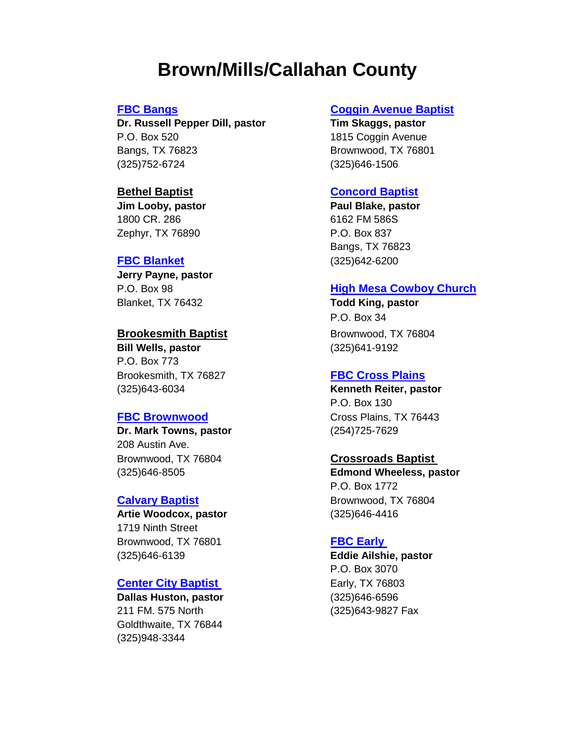# **Brown/Mills/Callahan County**

**Dr. Russell Pepper Dill, pastor Tim Skaggs, pastor** P.O. Box 520 **1815 Coggin Avenue** Bangs, TX 76823 Brownwood, TX 76801 (325)752-6724 (325)646-1506

**Jim Looby, pastor Paul Blake, pastor**  1800 CR. 286 6162 FM 586S Zephyr, TX 76890 **P.O. Box 837** 

**Jerry Payne, pastor** Blanket, TX 76432 **Todd King, pastor**

**Bill Wells, pastor** (325)641-9192 P.O. Box 773 Brookesmith, TX 76827 **[FBC Cross Plains](http://www.firstbaptistcp.com/)** (325)643-6034 **Kenneth Reiter, pastor**

**Dr. Mark Towns, pastor** (254)725-7629 208 Austin Ave. Brownwood, TX 76804 **Crossroads Baptist**  (325)646-8505 **Edmond Wheeless, pastor**

**Artie Woodcox, pastor** (325)646-4416 1719 Ninth Street Brownwood, TX 76801 **FBC Early** (325)646-6139 **Eddie Ailshie, pastor**

# **[Center City Baptist](http://www.centercitybaptist.org/our-pastors)  Early, TX 76803**

**Dallas Huston, pastor** (325)646-6596 211 FM. 575 North (325)643-9827 Fax Goldthwaite, TX 76844 (325)948-3344

# **[FBC Bangs](http://www.fbcbangs.com/) [Coggin Avenue Baptist](http://www.cogginchurch.org/)**

### **Bethel Baptist [Concord Baptist](https://www.facebook.com/pg/Concord-Baptist-Church-1546416828987971/about/)**

Bangs, TX 76823 **[FBC Blanket](https://www.facebook.com/pages/category/Religious-Organization/First-Baptist-Church-of-Blanket-1680137318872325/)** (325)642-6200

### P.O. Box 98 **[High Mesa Cowboy Church](http://www.highmesacc.com/)**

P.O. Box 34 **Brookesmith Baptist** Brownwood, TX 76804

P.O. Box 130 **[FBC Brownwood](http://www.fbcbrownwood.org/)** Cross Plains, TX 76443

P.O. Box 1772 **[Calvary Baptist](https://www.facebook.com/brownwoodcalvarybaptist/)** Brownwood, TX 76804

P.O. Box 3070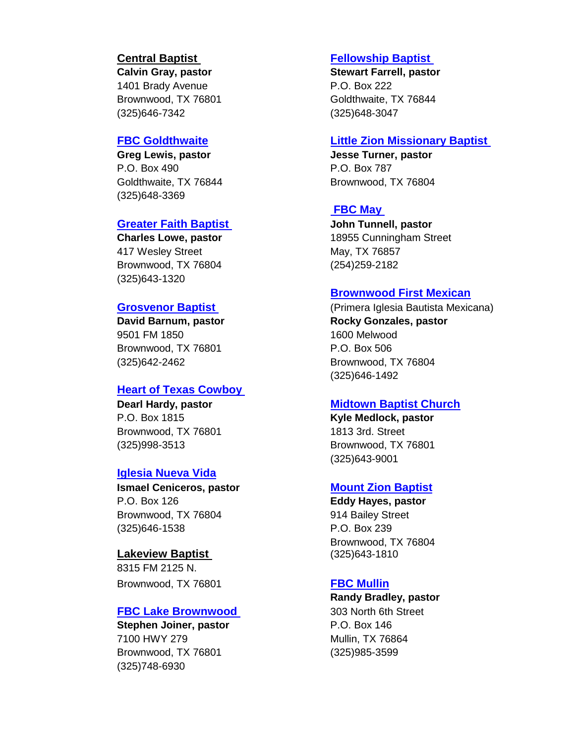1401 Brady Avenue **P.O. Box 222** (325)646-7342 (325)648-3047

**Greg Lewis, pastor Jesse Turner, pastor** P.O. Box 490 P.O. Box 787 (325)648-3369

# **[Greater Faith Baptist](https://www.facebook.com/pages/Greater-Faith-Community-Church/111523512220541) John Tunnell, pastor**

417 Wesley Street May, TX 76857 Brownwood, TX 76804 (254)259-2182 (325)643-1320

9501 FM 1850 1600 Melwood Brownwood, TX 76801 P.O. Box 506 (325)642-2462 Brownwood, TX 76804

### **[Heart of Texas Cowboy](https://www.facebook.com/Heartoftexascowboychurchbrookesmith/)**

P.O. Box 1815 **Kyle Medlock, pastor** Brownwood, TX 76801 1813 3rd. Street

# **[Iglesia Nueva Vida](https://www.facebook.com/pages/Nueva-Vida-Church/101199569956626)**

P.O. Box 126 **Eddy Hayes, pastor** Brownwood, TX 76804 914 Bailey Street (325)646-1538 P.O. Box 239

**Lakeview Baptist** (325)643-1810 8315 FM 2125 N. Brownwood, TX 76801 **[FBC Mullin](http://www.mullinfirstbaptist.church/)** 

### **[FBC Lake Brownwood](https://www.facebook.com/pages/category/Religious-Organization/FBC-Lake-Brownwood-554125038078266/)** 303 North 6th Street

**Stephen Joiner, pastor** P.O. Box 146 7100 HWY 279 Mullin, TX 76864 Brownwood, TX 76801 (325)985-3599 (325)748-6930

### **Central Baptist [Fellowship Baptist](https://www.facebook.com/fellowshipgold/)**

**Calvin Gray, pastor Stewart Farrell, pastor** Brownwood, TX 76801 Goldthwaite, TX 76844

### **[FBC Goldthwaite](http://www.fbcgoldthwaite.com/) [Little Zion Missionary Baptist](https://www.facebook.com/pages/Little-Zion-Baptist-Church/142414552459525)**

Goldthwaite, TX 76844 Brownwood, TX 76804

# **[FBC May](http://www.mayfbc.org/)**

**Charles Lowe, pastor** 18955 Cunningham Street

### **[Brownwood First Mexican](https://www.facebook.com/pages/Primera-Iglesia-Bautista/228307213960728)**

**[Grosvenor Baptist](https://www.facebook.com/pages/Grosvenor-Baptist-Church/299927333362325)** (Primera Iglesia Bautista Mexicana) **David Barnum, pastor Construction Convertsed Barnum, pastor Convertsed Barnum, pastor Convertsed Barnum** (325)646-1492

### **Dearl Hardy, pastor [Midtown Baptist Church](http://www.midtownbc.org/)**

(325)998-3513 Brownwood, TX 76801 (325)643-9001

### **Ismael Ceniceros, pastor [Mount Zion Baptist](https://www.facebook.com/pages/Mt-Zion-Baptist-Church/109256599115090)**

Brownwood, TX 76804

**Randy Bradley, pastor**